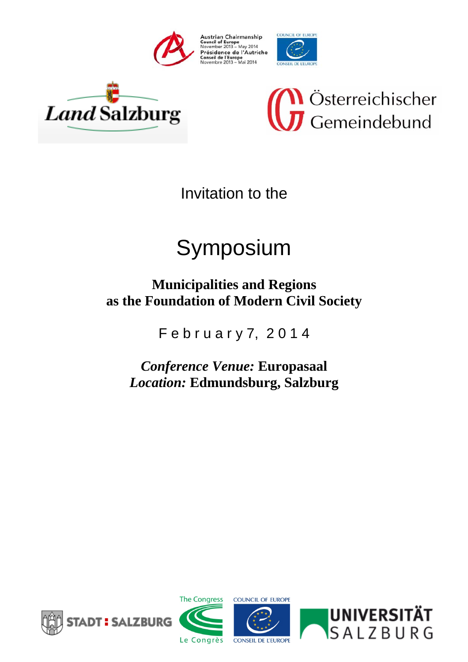







Invitation to the

# Symposium

# **Municipalities and Regions as the Foundation of Modern Civil Society**

F e b r u a r y 7, 2 0 1 4

*Conference Venue:* **Europasaal**  *Location:* **Edmundsburg, Salzburg** 







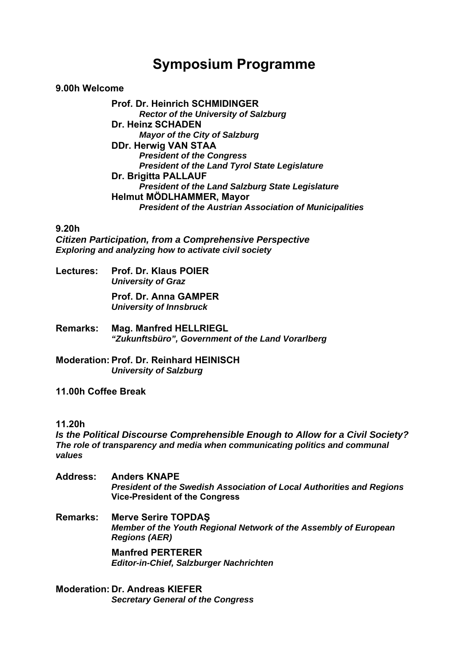# **Symposium Programme**

#### **9.00h Welcome**

**Prof. Dr. Heinrich SCHMIDINGER**   *Rector of the University of Salzburg*  **Dr. Heinz SCHADEN**   *Mayor of the City of Salzburg*  **DDr. Herwig VAN STAA**   *President of the Congress President of the Land Tyrol State Legislature*  **Dr. Brigitta PALLAUF**   *President of the Land Salzburg State Legislature*  **Helmut MÖDLHAMMER, Mayor**   *President of the Austrian Association of Municipalities* 

#### **9.20h**

*Citizen Participation, from a Comprehensive Perspective Exploring and analyzing how to activate civil society* 

**Lectures: Prof. Dr. Klaus POIER**   *University of Graz* 

> **Prof. Dr. Anna GAMPER**   *University of Innsbruck*

**Remarks: Mag. Manfred HELLRIEGL**  *"Zukunftsbüro", Government of the Land Vorarlberg* 

**Moderation: Prof. Dr. Reinhard HEINISCH**   *University of Salzburg* 

**11.00h Coffee Break** 

#### **11.20h**

*Is the Political Discourse Comprehensible Enough to Allow for a Civil Society? The role of transparency and media when communicating politics and communal values* 

**Address: Anders KNAPE**  *President of the Swedish Association of Local Authorities and Regions* **Vice-President of the Congress** 

**Remarks: Merve Serire TOPDAŞ** *Member of the Youth Regional Network of the Assembly of European Regions (AER)* 

> **Manfred PERTERER**  *Editor-in-Chief, Salzburger Nachrichten*

**Moderation: Dr. Andreas KIEFER**  *Secretary General of the Congress*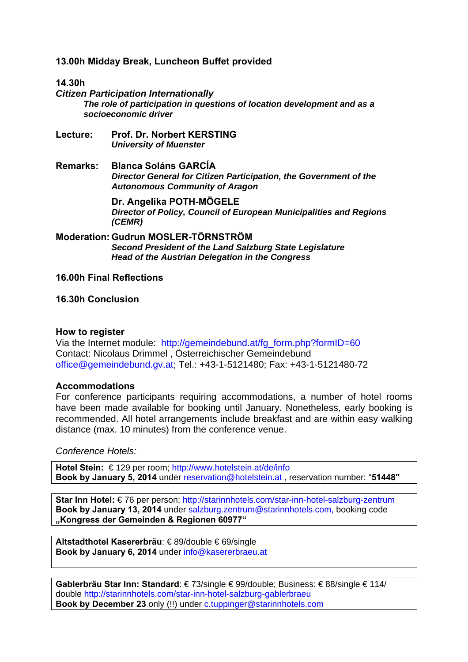**13.00h Midday Break, Luncheon Buffet provided** 

#### **14.30h**

*Citizen Participation Internationally The role of participation in questions of location development and as a socioeconomic driver* 

- **Lecture: Prof. Dr. Norbert KERSTING**  *University of Muenster*
- **Remarks: Blanca Soláns GARCÍA**  *Director General for Citizen Participation, the Government of the Autonomous Community of Aragon*

**Dr. Angelika POTH-MÖGELE**  *Director of Policy, Council of European Municipalities and Regions (CEMR)* 

**Moderation: Gudrun MOSLER-TÖRNSTRÖM**  *Second President of the Land Salzburg State Legislature Head of the Austrian Delegation in the Congress* 

#### **16.00h Final Reflections**

**16.30h Conclusion** 

#### **How to register**

Via the Internet module: http://gemeindebund.at/fg\_form.php?formID=60 Contact: Nicolaus Drimmel , Österreichischer Gemeindebund office@gemeindebund.gv.at; Tel.: +43-1-5121480; Fax: +43-1-5121480-72

#### **Accommodations**

For conference participants requiring accommodations, a number of hotel rooms have been made available for booking until January. Nonetheless, early booking is recommended. All hotel arrangements include breakfast and are within easy walking distance (max. 10 minutes) from the conference venue.

*Conference Hotels:* 

**Hotel Stein:** € 129 per room; http://www.hotelstein.at/de/info **Book by January 5, 2014** under reservation@hotelstein.at , reservation number: "**51448"** 

**Star Inn Hotel:** € 76 per person; http://starinnhotels.com/star-inn-hotel-salzburg-zentrum **Book by January 13, 2014** under salzburg.zentrum@starinnhotels.com, booking code **"Kongress der Gemeinden & Regionen 60977"** 

**Altstadthotel Kasererbräu**: € 89/double € 69/single **Book by January 6, 2014** under info@kasererbraeu.at

**Gablerbräu Star Inn: Standard**: € 73/single € 99/double; Business: € 88/single € 114/ double http://starinnhotels.com/star-inn-hotel-salzburg-gablerbraeu **Book by December 23** only (!!) under c.tuppinger@starinnhotels.com